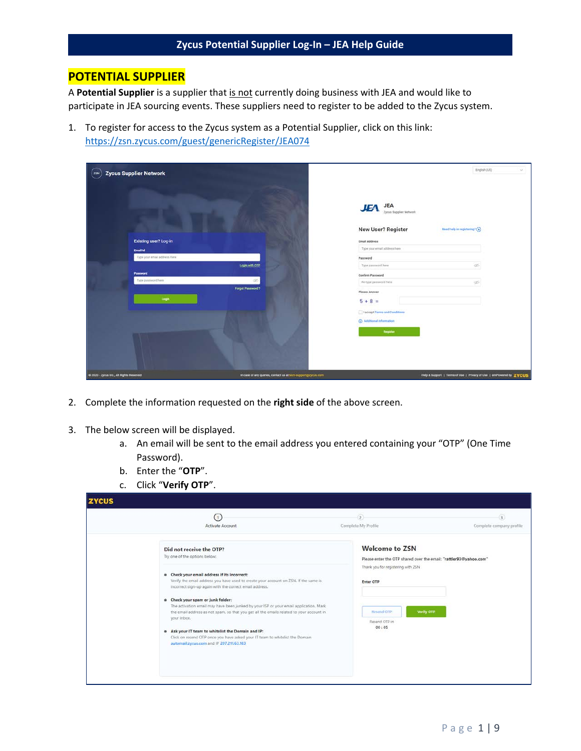### **POTENTIAL SUPPLIER**

A **Potential Supplier** is a supplier that is not currently doing business with JEA and would like to participate in JEA sourcing events. These suppliers need to register to be added to the Zycus system.

1. To register for access to the Zycus system as a Potential Supplier, click on this link: [https://zsn.zycus.com/guest/genericRegister/JEA074](https://urldefense.com/v3/__https:/zsn.zycus.com/guest/genericRegister/JEA074__;!!PTbBrQ!OKeMQ5i-MNIgvMtFjY7Bw-Qc2mTLJMKUw7IPZKXR84rmkxEbq-NYhpiG7dk$)

| $(zSN)$ Zycus Supplier Network           |                                                              |                                                    | English (US)<br>$\omega$                                            |
|------------------------------------------|--------------------------------------------------------------|----------------------------------------------------|---------------------------------------------------------------------|
|                                          |                                                              | <b>JEA</b><br><b>JEA</b><br>Zycus Supplier Network |                                                                     |
|                                          |                                                              | <b>New User? Register</b>                          | Need help in registering? (+)                                       |
| <b>Existing user? Log-in</b>             |                                                              | <b>Email Address</b>                               |                                                                     |
| Email Id                                 |                                                              | Type your email address here                       |                                                                     |
| Type your email address here             |                                                              | Password                                           |                                                                     |
|                                          | Login with OTP                                               | Type password here                                 | g6                                                                  |
| Password.                                |                                                              | Confirm Password                                   |                                                                     |
| Type password here                       | S                                                            | Re-type password here                              | Ø.                                                                  |
|                                          | <b>Forgot Password 7</b>                                     | Please Answer                                      |                                                                     |
| Login                                    |                                                              | $5 + 8 =$                                          |                                                                     |
|                                          |                                                              | I I accept Terms and Conditions                    |                                                                     |
|                                          |                                                              | 4 Additional information                           |                                                                     |
|                                          |                                                              | <b>Stegister</b>                                   |                                                                     |
|                                          |                                                              |                                                    |                                                                     |
|                                          |                                                              |                                                    |                                                                     |
| C 2020 - Zycus Inc., All Rights Reserved | In case of any queries, contact us at tech-support@zycus.com |                                                    | Help & Support   Terms of Use   Privacy of Use   emPowered by ZYCUS |

- 2. Complete the information requested on the **right side** of the above screen.
- 3. The below screen will be displayed.
	- a. An email will be sent to the email address you entered containing your "OTP" (One Time Password).
	- b. Enter the "**OTP**".
	- c. Click "**Verify OTP**".

| $\overline{2}$<br>Complete My Profile                                                                                                                                                                | Complete company profile |
|------------------------------------------------------------------------------------------------------------------------------------------------------------------------------------------------------|--------------------------|
| <b>Welcome to ZSN</b><br>Please enter the OTP shared over the email: "rattler93@yahoo.com"<br>Thank you for registering with ZSN<br>Enter OTP<br>Verify OTP<br>Resend OTP:<br>Resend OTP in<br>00:05 |                          |
|                                                                                                                                                                                                      |                          |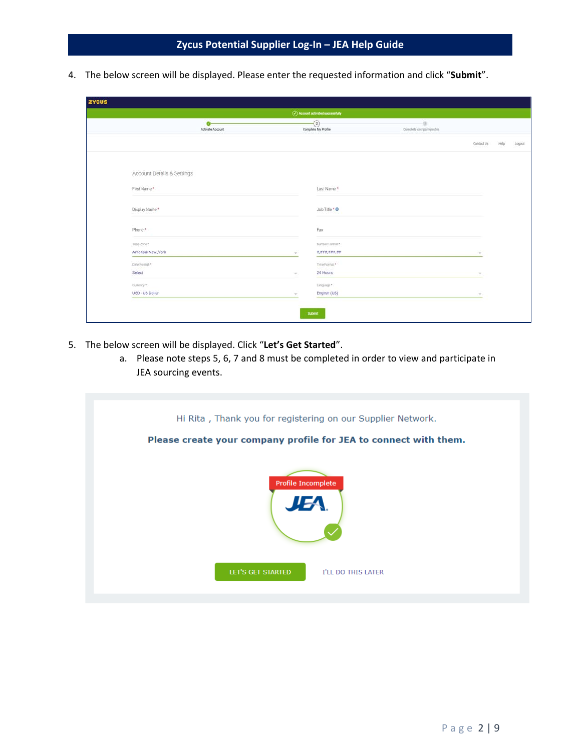4. The below screen will be displayed. Please enter the requested information and click "**Submit**".

| <b>ZYCUS</b>               |                               |        |                                |                                           |               |      |        |
|----------------------------|-------------------------------|--------|--------------------------------|-------------------------------------------|---------------|------|--------|
|                            |                               |        | Account activated successfully |                                           |               |      |        |
|                            | $\bullet$<br>Activate Account |        | $\odot$<br>Complete My Profile | $\frac{1}{2}$<br>Complete company profile |               |      |        |
|                            |                               |        |                                |                                           | Contact Us    | Help | Logout |
|                            |                               |        |                                |                                           |               |      |        |
| Account Details & Settings |                               |        |                                |                                           |               |      |        |
| First Name*                |                               |        | Last Name*                     |                                           |               |      |        |
| Display Name*              |                               |        | Job Title * 0                  |                                           |               |      |        |
| Phone*                     |                               |        | Fax                            |                                           |               |      |        |
| Time Zone *                |                               |        | Number Format *:               |                                           |               |      |        |
| America/New_York           |                               |        | #,###,###,##                   |                                           |               |      |        |
| Date Format *              |                               |        | Time Format *                  |                                           |               |      |        |
| Select                     |                               | $\sim$ | 24 Hours                       |                                           |               |      |        |
| Currency *                 |                               |        | Language*                      |                                           |               |      |        |
| USD - US Dollar            |                               | $\sim$ | English (US)                   |                                           | $\mathcal{C}$ |      |        |
|                            |                               |        |                                |                                           |               |      |        |
|                            |                               |        | Submit                         |                                           |               |      |        |

- 5. The below screen will be displayed. Click "**Let's Get Started**".
	- a. Please note steps 5, 6, 7 and 8 must be completed in order to view and participate in JEA sourcing events.

| Hi Rita, Thank you for registering on our Supplier Network.<br>Please create your company profile for JEA to connect with them.<br><b>Profile Incomplete</b><br>JEA. |                    |
|----------------------------------------------------------------------------------------------------------------------------------------------------------------------|--------------------|
| LET'S GET STARTED                                                                                                                                                    | I'LL DO THIS LATER |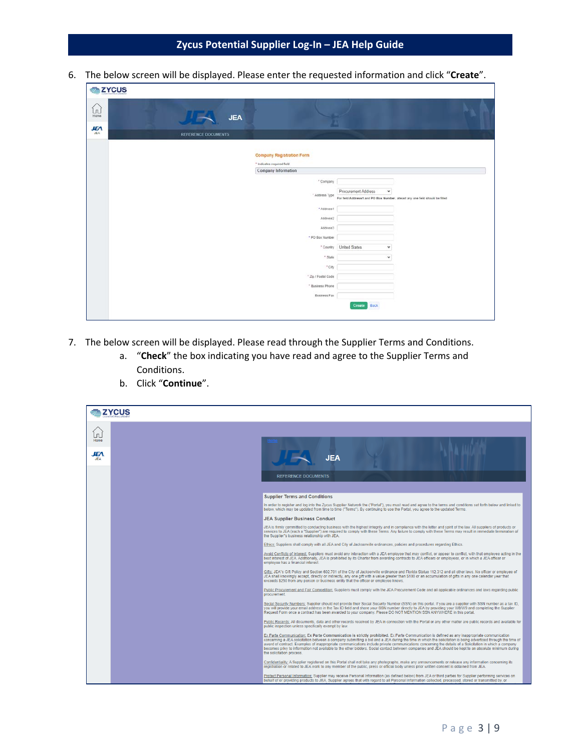6. The below screen will be displayed. Please enter the requested information and click "**Create**".

| <b>E</b> ZYCUS                                                             |                                          |                                                                |                                                                              |  |
|----------------------------------------------------------------------------|------------------------------------------|----------------------------------------------------------------|------------------------------------------------------------------------------|--|
| $\begin{bmatrix} 1 \\ 0 \\ \text{Home} \end{bmatrix}$<br><b>JEA</b><br>JEA | <b>JEA</b><br><b>REFERENCE DOCUMENTS</b> |                                                                |                                                                              |  |
|                                                                            |                                          | <b>Company Registration Form</b><br>* Indicates required field |                                                                              |  |
|                                                                            |                                          | Company Information                                            |                                                                              |  |
|                                                                            |                                          | * Company                                                      |                                                                              |  |
|                                                                            |                                          | " Address Type                                                 | Procurement Address<br>v                                                     |  |
|                                                                            |                                          |                                                                | For field Address1 and PO Box Number, alleast any one field should be filled |  |
|                                                                            |                                          | * Address1                                                     |                                                                              |  |
|                                                                            |                                          | Address2                                                       |                                                                              |  |
|                                                                            |                                          | Address3                                                       |                                                                              |  |
|                                                                            |                                          | * PO Box Number                                                |                                                                              |  |
|                                                                            |                                          | <sup>*</sup> Country                                           | United States<br>$\checkmark$                                                |  |
|                                                                            |                                          | * State                                                        | $\checkmark$                                                                 |  |
|                                                                            |                                          | $^{\circ}$ City                                                |                                                                              |  |
|                                                                            |                                          | * Zip / Postal Code                                            |                                                                              |  |
|                                                                            |                                          | * Business Phone                                               |                                                                              |  |
|                                                                            |                                          | <b>Business Fax</b>                                            |                                                                              |  |
|                                                                            |                                          |                                                                | Create Back                                                                  |  |

- 7. The below screen will be displayed. Please read through the Supplier Terms and Conditions.
	- a. "**Check**" the box indicating you have read and agree to the Supplier Terms and Conditions.
	- b. Click "**Continue**".

|                      | ₹ zycus |                                                                                                                                                                                                                                                                                                                                                                                                                                                                                                                                                                                                                                                              |
|----------------------|---------|--------------------------------------------------------------------------------------------------------------------------------------------------------------------------------------------------------------------------------------------------------------------------------------------------------------------------------------------------------------------------------------------------------------------------------------------------------------------------------------------------------------------------------------------------------------------------------------------------------------------------------------------------------------|
| $\Box$<br>Home<br>ÆА |         | <b>JEA</b><br><b>REFERENCE DOCUMENTS</b>                                                                                                                                                                                                                                                                                                                                                                                                                                                                                                                                                                                                                     |
|                      |         | <b>Supplier Terms and Conditions</b>                                                                                                                                                                                                                                                                                                                                                                                                                                                                                                                                                                                                                         |
|                      |         | In order to register and log into the Zycus Supplier Network the ("Portal"), you must read and agree to the terms and conditions set forth below and linked to<br>below, which may be updated from time to time ("Terms"). By continuing to use the Portal, you agree to the updated Terms.                                                                                                                                                                                                                                                                                                                                                                  |
|                      |         | <b>JEA Supplier Business Conduct</b>                                                                                                                                                                                                                                                                                                                                                                                                                                                                                                                                                                                                                         |
|                      |         | JEA is firmly committed to conducting business with the highest integrity and in compliance with the letter and spirit of the law. All suppliers of products or<br>services to JEA (each a "Supplier") are required to comply with these Terms. Any failure to comply with these Terms may result in immediate termination of<br>the Supplier"s business relationship with JEA.                                                                                                                                                                                                                                                                              |
|                      |         | Ethics: Suppliers shall comply with all JEA and City of Jacksonville ordinances, policies and procedures regarding Ethics.                                                                                                                                                                                                                                                                                                                                                                                                                                                                                                                                   |
|                      |         | Avoid Conflicts of Interest: Suppliers must avoid any interaction with a JEA employee that may conflict, or appear to conflict, with that employee acting in the<br>best interest of JEA. Additionally, JEA is prohibited by its Charter from awarding contracts to JEA officers or employees, or in which a JEA officer or<br>employee has a financial interest.                                                                                                                                                                                                                                                                                            |
|                      |         | Gifts: JEA"s Gift Policy and Section 602.701 of the City of Jacksonville ordinance and Florida Statue 112.312 and all other laws. No officer or employee of<br>JEA shall knowingly accept, directly or indirectly, any one gift with a value greater than \$100 or an accumulation of gifts in any one calendar year that<br>exceeds \$250 from any person or business entity that the officer or employee knows.                                                                                                                                                                                                                                            |
|                      |         | Public Procurement and Fair Competition: Suppliers must comply with the JEA Procurement Code and all applicable ordinances and laws regarding public<br>procurement.                                                                                                                                                                                                                                                                                                                                                                                                                                                                                         |
|                      |         | Social Security Numbers: Supplier should not provide their Social Security Number (SSN) on this portal. If you are a supplier with SSN number as a tax ID.<br>you will provide your email address in the Tax ID field and share your SSN number directly to JEA by providing your W8/W9 and completing the Supplier<br>Request Form once a contract has been awarded to your company. Please DO NOT MENTION SSN ANYWHERE in this portal.                                                                                                                                                                                                                     |
|                      |         | Public Records: All documents, data and other records received by JEA in connection with the Portal or any other matter are public records and available for<br>public inspection unless specifically exempt by law.                                                                                                                                                                                                                                                                                                                                                                                                                                         |
|                      |         | Ex Parte Communication: Ex Parte Communication is strictly prohibited. Ex Parte Communication is defined as any inappropriate communication<br>concerning a JEA solicitation between a company submitting a bid and a JEA during the time in which the solicitation is being advertised through the time of<br>award of contract. Examples of inappropriate communications include private communications concerning the details of a Solicitation in which a company<br>becomes privy to information not available to the other bidders. Social contact between companies and JEA should be kept to an absolute minimum during<br>the solicitation process. |
|                      |         | Confidentiality: A Supplier registered on this Portal shall not take any photographs, make any announcements or release any information concerning its<br>registration or related to JEA work to any member of the public, press or official body unless prior written consent is obtained from JEA.                                                                                                                                                                                                                                                                                                                                                         |
|                      |         | Protect Personal Information: Supplier may receive Personal Information (as defined below) from JEA or third parties for Supplier performing services on<br>behalf of or providing products to JEA. Supplier agrees that with regard to all Personal Information collected, processed, stored or transmitted by, or                                                                                                                                                                                                                                                                                                                                          |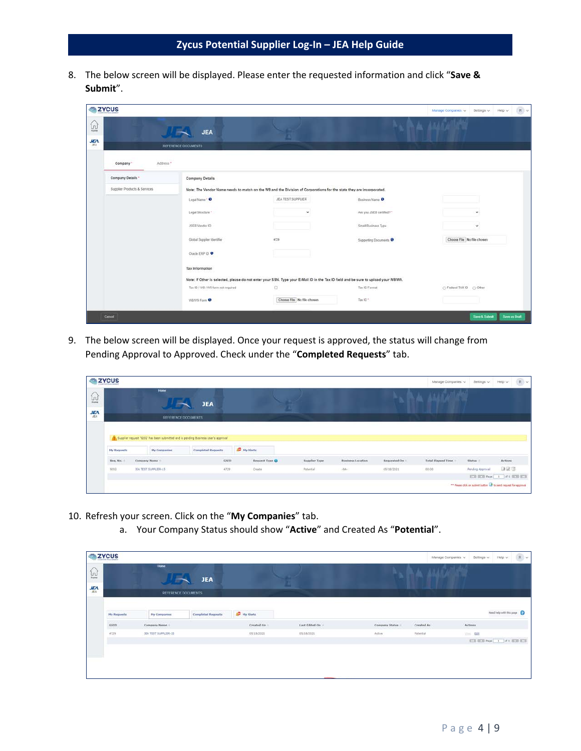8. The below screen will be displayed. Please enter the requested information and click "**Save & Submit**".

| <b>SZYCUS</b>                                                                 |                              |                                    |                                                                                                                                     |                           | Manage Companies v         | Settings $\vee$ Help $\vee$ | $R$ $\vee$    |
|-------------------------------------------------------------------------------|------------------------------|------------------------------------|-------------------------------------------------------------------------------------------------------------------------------------|---------------------------|----------------------------|-----------------------------|---------------|
| $\begin{bmatrix} 1 \\ 0 \\ \text{true} \end{bmatrix}$<br>$\frac{1}{\sqrt{2}}$ |                              | <b>JEA</b><br>REFERENCE DOCUMENTS  |                                                                                                                                     |                           |                            |                             |               |
|                                                                               | Address."<br>Company *       |                                    |                                                                                                                                     |                           |                            |                             |               |
|                                                                               | Company Details *            | <b>Company Details</b>             |                                                                                                                                     |                           |                            |                             |               |
|                                                                               | Supplier Products & Services |                                    | Note: The Vendor Name needs to match on the W9 and the Division of Corporations for the state they are incorporated.                |                           |                            |                             |               |
|                                                                               |                              | Legal Name * O                     | JEA TEST SUPPLIER                                                                                                                   | Business Name O           |                            |                             |               |
|                                                                               |                              | Legal Structure *                  | $\tilde{\phantom{a}}$                                                                                                               | Are you JSEB certified? * |                            | $\omega$                    |               |
|                                                                               |                              | JSEB Vendor ID                     |                                                                                                                                     | Small Business Type       |                            | v                           |               |
|                                                                               |                              | Global Supplier Identifier         | 4729                                                                                                                                | Supporting Documents      | Choose File No file chosen |                             |               |
|                                                                               |                              | Oracle ERP ID                      |                                                                                                                                     |                           |                            |                             |               |
|                                                                               |                              | <b>Tax Information</b>             |                                                                                                                                     |                           |                            |                             |               |
|                                                                               |                              |                                    | Note: If Other is selected, please do not enter your SSN. Type your E-Mail ID in the Tax ID field and be sure to upload your W8/W9. |                           |                            |                             |               |
|                                                                               |                              | Tax ID / W3 / W9 form not required | a                                                                                                                                   | Tax ID Format             | C Federal TAX ID C Other   |                             |               |
|                                                                               |                              | WBW9 Form <sup>0</sup>             | Choose File No file chosen                                                                                                          | Tax ID."                  |                            |                             |               |
|                                                                               | Cancel                       |                                    |                                                                                                                                     |                           |                            | Save & Submit               | Save as Draft |

9. The below screen will be displayed. Once your request is approved, the status will change from Pending Approval to Approved. Check under the "**Completed Requests**" tab.

|                                                                                                                                                                                                                                                                                                                                                             | <b>Humo</b>         |                           |                |                  |                               |              | Manage Companies v                                     | Settings v. | R<br>Help v |
|-------------------------------------------------------------------------------------------------------------------------------------------------------------------------------------------------------------------------------------------------------------------------------------------------------------------------------------------------------------|---------------------|---------------------------|----------------|------------------|-------------------------------|--------------|--------------------------------------------------------|-------------|-------------|
| <b>My Requests</b><br>Service Miller<br>Req. No.<br>0203                                                                                                                                                                                                                                                                                                    |                     |                           |                |                  |                               |              |                                                        |             |             |
|                                                                                                                                                                                                                                                                                                                                                             |                     |                           |                |                  |                               |              |                                                        |             |             |
|                                                                                                                                                                                                                                                                                                                                                             | <b>My Companies</b> | <b>Completed Requests</b> |                |                  |                               |              |                                                        |             |             |
|                                                                                                                                                                                                                                                                                                                                                             |                     |                           | Request Type O | Supplier Type    | .<br><b>Business Location</b> | Requested On | <b>ASSESSMENT CONTROL</b><br><b>Total Elapsed Time</b> | Status :    | Actions     |
| <b>ZYCUS</b><br>$\left[\begin{smallmatrix} 1\\ 1\end{smallmatrix}\right]$<br><b>JEA</b><br><b>JEA</b><br><b>JEA</b><br><b>REFERENCE DOCUMENTS</b><br>Supplier request '9202' has been submitted and is pending Business User's approval<br><b>SD</b> My Alerts<br>6500<br>Company Name<br>4729<br><b>IEA TEST SUPPLIER-15</b><br>Create<br><b>Potential</b> | $\rightarrow$       | 05/18/2021                | 00:00          | Pending Approval | 自觉度                           |              |                                                        |             |             |

- 10. Refresh your screen. Click on the "**My Companies**" tab.
	- a. Your Company Status should show "**Active**" and Created As "**Potential**".

|                                                                                                                                        |                     | Home                      | <b>JEA</b>                 |            | U.             |                | 3333                     | $\left\vert \cdot \right\vert$ R $\left\vert \times \right\vert$<br>$Heip \sim$<br>Manage Companies ~<br>Settings v |
|----------------------------------------------------------------------------------------------------------------------------------------|---------------------|---------------------------|----------------------------|------------|----------------|----------------|--------------------------|---------------------------------------------------------------------------------------------------------------------|
|                                                                                                                                        |                     |                           | <b>REFERENCE DOCUMENTS</b> |            |                |                |                          |                                                                                                                     |
| <b>SZYCUS</b><br>$\begin{bmatrix} 1 \\ 0 \\ 0 \end{bmatrix}$<br>$\frac{1}{2}$<br><b>Hy Requests</b><br><b>Internet</b><br>GSID<br>4729 | <b>Hy Companies</b> | <b>Completed Requests</b> | <b>AP</b> My Alerts        |            |                |                | Need help with this page |                                                                                                                     |
|                                                                                                                                        |                     | Company Name              |                            | Created On | Last Edited On | Company Status | Created As               | Actions                                                                                                             |
|                                                                                                                                        |                     | JEA TEST SUPPLIER-15      |                            | 05/18/2021 | 05/18/2021     | Active         | Potential                | <b>Cold</b>                                                                                                         |
|                                                                                                                                        |                     |                           |                            |            |                |                |                          |                                                                                                                     |
|                                                                                                                                        |                     |                           |                            |            |                |                |                          |                                                                                                                     |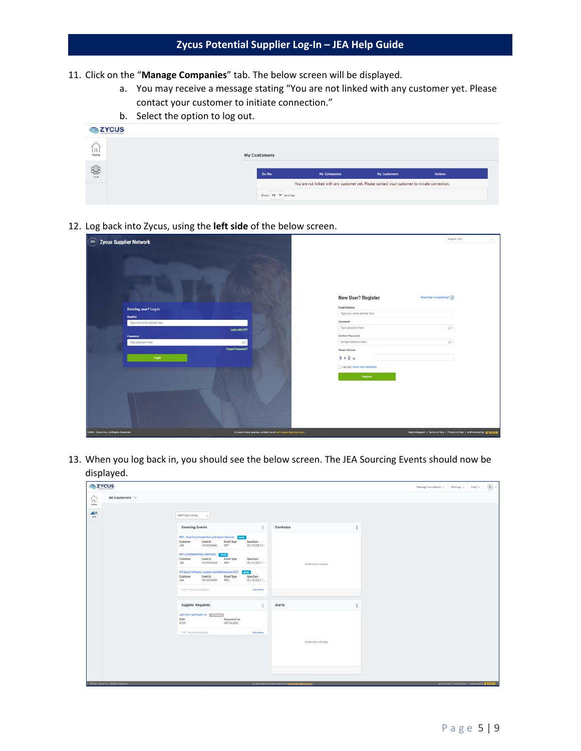- 11. Click on the "**Manage Companies**" tab. The below screen will be displayed.
	- a. You may receive a message stating "You are not linked with any customer yet. Please contact your customer to initiate connection."
	- b. Select the option to log out.

| <b>EXPLOSE</b>                                             |              |                   |                                                                                                |                     |         |
|------------------------------------------------------------|--------------|-------------------|------------------------------------------------------------------------------------------------|---------------------|---------|
| $\left[\begin{smallmatrix} 1\\ 0 \end{smallmatrix}\right]$ | My Customers |                   |                                                                                                |                     |         |
| 嘞                                                          |              | Sr. No.           | <b>My Companies</b>                                                                            | <b>My Customers</b> | Actions |
|                                                            |              |                   | You are not linked with any customer yet. Please contact your customer to initiate connection. |                     |         |
|                                                            |              | Show 10 V entries |                                                                                                |                     |         |

12. Log back into Zycus, using the **left side** of the below screen.

|                                        | English (US)<br>$\mathcal{L}_{\mathcal{F}}$<br>$(x_N)$ Zycus Supplier Network<br>New User? Register<br>Need folp in registering? (a)<br><b>Email Accress</b><br>Existing user? Log-in<br>Type your email address new<br><b>Email Id</b><br>Password<br>Type your email address here<br>GB-<br>Type passwore here<br>Login with OTP<br>Confirm Password<br>Password<br>Religio password here<br>gib.<br>œ.<br>Type password here<br>Forgot Password?<br>Please Answer<br>$0 + 6 =$<br>Login<br>I accept Terms and Conditions<br>Register<br>Help & Support   Terms of Use   Privacy of Use   emPowered by ZYCUS |                                                              |  |  |
|----------------------------------------|----------------------------------------------------------------------------------------------------------------------------------------------------------------------------------------------------------------------------------------------------------------------------------------------------------------------------------------------------------------------------------------------------------------------------------------------------------------------------------------------------------------------------------------------------------------------------------------------------------------|--------------------------------------------------------------|--|--|
|                                        |                                                                                                                                                                                                                                                                                                                                                                                                                                                                                                                                                                                                                |                                                              |  |  |
|                                        |                                                                                                                                                                                                                                                                                                                                                                                                                                                                                                                                                                                                                |                                                              |  |  |
|                                        |                                                                                                                                                                                                                                                                                                                                                                                                                                                                                                                                                                                                                |                                                              |  |  |
|                                        |                                                                                                                                                                                                                                                                                                                                                                                                                                                                                                                                                                                                                |                                                              |  |  |
|                                        |                                                                                                                                                                                                                                                                                                                                                                                                                                                                                                                                                                                                                |                                                              |  |  |
|                                        |                                                                                                                                                                                                                                                                                                                                                                                                                                                                                                                                                                                                                |                                                              |  |  |
|                                        |                                                                                                                                                                                                                                                                                                                                                                                                                                                                                                                                                                                                                |                                                              |  |  |
|                                        |                                                                                                                                                                                                                                                                                                                                                                                                                                                                                                                                                                                                                |                                                              |  |  |
|                                        |                                                                                                                                                                                                                                                                                                                                                                                                                                                                                                                                                                                                                |                                                              |  |  |
|                                        |                                                                                                                                                                                                                                                                                                                                                                                                                                                                                                                                                                                                                |                                                              |  |  |
|                                        |                                                                                                                                                                                                                                                                                                                                                                                                                                                                                                                                                                                                                |                                                              |  |  |
|                                        |                                                                                                                                                                                                                                                                                                                                                                                                                                                                                                                                                                                                                |                                                              |  |  |
|                                        |                                                                                                                                                                                                                                                                                                                                                                                                                                                                                                                                                                                                                |                                                              |  |  |
|                                        |                                                                                                                                                                                                                                                                                                                                                                                                                                                                                                                                                                                                                |                                                              |  |  |
| 2000 - Zycus Inc., All Rights Reserved |                                                                                                                                                                                                                                                                                                                                                                                                                                                                                                                                                                                                                | In case of any queries, contact us at foch support@zycus.com |  |  |

13. When you log back in, you should see the below screen. The JEA Sourcing Events should now be displayed.

| <b>EXYCUS</b>                           |                                                                                                                                                                 |                                                               | $\text{Image Conposite } \nu \qquad \text{Setting } \nu \qquad \text{Heip } \nu \qquad \text{$\mathsf{R}$} \quad \nu$ |                                                    |  |
|-----------------------------------------|-----------------------------------------------------------------------------------------------------------------------------------------------------------------|---------------------------------------------------------------|-----------------------------------------------------------------------------------------------------------------------|----------------------------------------------------|--|
| All Customers V<br>โกไ<br><b>Hote</b>   |                                                                                                                                                                 |                                                               |                                                                                                                       |                                                    |  |
| <b>JEA</b><br><b>GRAC</b>               | Add Card Library                                                                                                                                                |                                                               |                                                                                                                       |                                                    |  |
|                                         | Sourcing Events                                                                                                                                                 | Contracts<br>÷                                                |                                                                                                                       |                                                    |  |
|                                         | RFP - Heat Trace Inspection and Repart Services County<br>Customer<br>Event ld<br>Event Type<br>Open Date<br>JFA<br>1410334446<br>prp<br>06/18/2021 0.          |                                                               |                                                                                                                       |                                                    |  |
|                                         | REP LIDAR MAPPING SERVICES<br>ortar<br>0.000<br>Customer<br><b>Fyent ld</b><br><b>Event Type</b><br>Does Date<br>JEA<br>1410335448<br><b>RFP</b><br>05/15/20211 | Aid Badsords to Display                                       |                                                                                                                       |                                                    |  |
|                                         | IFB Quest Software Licenses and Maintenance 2021<br><b>CPUN</b><br>Customer.<br>EventId<br>Event Type<br>Open Date<br>JEA<br>1410335849<br>RFQ<br>05/14/2021 1  |                                                               |                                                                                                                       |                                                    |  |
|                                         | 3 of ST records displayed<br>View More                                                                                                                          |                                                               |                                                                                                                       |                                                    |  |
|                                         | <b>Supplier Requests</b>                                                                                                                                        | Alerts                                                        |                                                                                                                       |                                                    |  |
|                                         | JEATEST SUPPLIER 15 AVAILANT<br><b>GSD CONSUMING THE REAL PROPERTY</b><br>Requested On<br>4729<br>05/18/2021                                                    |                                                               |                                                                                                                       |                                                    |  |
|                                         | 1 of 1 records staplayed<br>View More                                                                                                                           | No Records to Display<br>11:12:00:00                          |                                                                                                                       |                                                    |  |
|                                         |                                                                                                                                                                 |                                                               |                                                                                                                       |                                                    |  |
|                                         |                                                                                                                                                                 |                                                               |                                                                                                                       |                                                    |  |
| @2020 - Zyrus Inc., All Rights Reserved |                                                                                                                                                                 | In case of any species, contact plays and appoint threat per- |                                                                                                                       | Term of the 1 Philadelphia 1 and countries EYCUS 1 |  |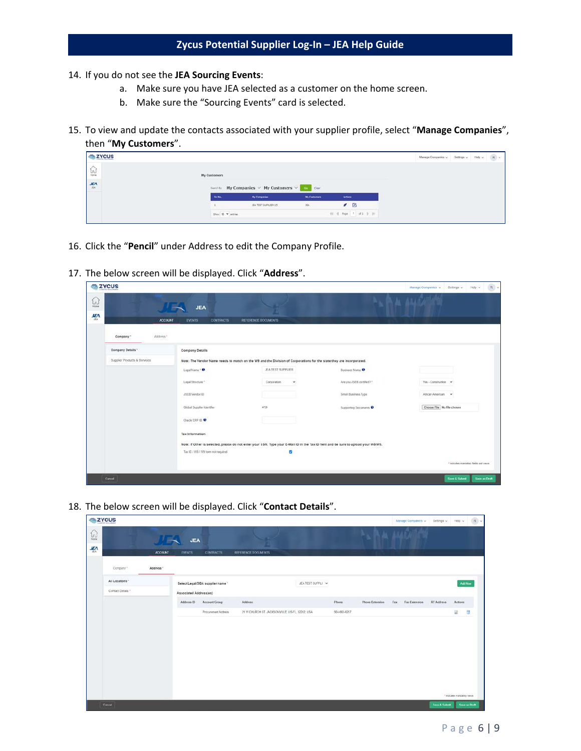- 14. If you do not see the **JEA Sourcing Events**:
	- a. Make sure you have JEA selected as a customer on the home screen.
	- b. Make sure the "Sourcing Events" card is selected.
- 15. To view and update the contacts associated with your supplier profile, select "**Manage Companies**", then "**My Customers**".

| <b>ZYCUS</b>  |                                       |                                                 |                     |          |                       | Manage Companies $\sim$ Settings $\sim$ Help $\sim$ |  | Rv |
|---------------|---------------------------------------|-------------------------------------------------|---------------------|----------|-----------------------|-----------------------------------------------------|--|----|
| $\frac{1}{2}$ | My Customers                          |                                                 |                     |          |                       |                                                     |  |    |
| $rac{J}{\pi}$ |                                       | Security My Companies V My Customers V Co Clear |                     |          |                       |                                                     |  |    |
|               | <b>Botto</b>                          | My Companies                                    | <b>My Contoming</b> | :Actions |                       |                                                     |  |    |
|               |                                       | <b>JEA TEST SUPPLIER-15</b>                     | $26A$               |          | $\sqrt{2}$            |                                                     |  |    |
|               | Show 10. $\blacktriangledown$ antries |                                                 |                     |          | 01 4 Page 1 of 1 9 30 |                                                     |  |    |
|               |                                       |                                                 |                     |          |                       |                                                     |  |    |

- 16. Click the "**Pencil**" under Address to edit the Company Profile.
- 17. The below screen will be displayed. Click "**Address**".

| <b>ELZYCUS</b>                   |                              |                            |                                             |                                                                                                                                                                |                          | $R$ $\sim$<br>Manage Companies<br>Setings v Help v |
|----------------------------------|------------------------------|----------------------------|---------------------------------------------|----------------------------------------------------------------------------------------------------------------------------------------------------------------|--------------------------|----------------------------------------------------|
| ίn,<br><b>Home</b><br><b>JEA</b> |                              |                            | <b>JEA</b>                                  |                                                                                                                                                                |                          |                                                    |
| ALA                              | Company"                     | <b>ACCOUNT</b><br>Address* | <b>CONTRACTS</b><br><b>EVENTS</b>           | REFERENCE DOCUMENTS                                                                                                                                            |                          |                                                    |
|                                  | Company Details *            |                            | <b>Company Details</b>                      |                                                                                                                                                                |                          |                                                    |
|                                  | Supplier Products & Services |                            | Logal Name * 8                              | Note: The Vendor Name needs to match on the W9 and the Division of Corporations for the state they are incorporated.<br>JEA TEST SUPPLIER                      | <b>Business Name O</b>   |                                                    |
|                                  |                              |                            | Legal Structure *                           | Corporation<br>×                                                                                                                                               | Are you JSEB certified?" | Yes - Construction v                               |
|                                  |                              |                            | JSEB Vendor 1D                              |                                                                                                                                                                | Small Business Type      | African American v                                 |
|                                  |                              |                            | Global Supplier Identifier<br>Oracle ERP ID | 4725                                                                                                                                                           | Supporting Documents     | Chouse File: No file chosen                        |
|                                  |                              |                            | Tax Information                             |                                                                                                                                                                |                          |                                                    |
|                                  |                              |                            | Tax ID / W8 / W9 form not required          | Note: If Other is selected, please do not enter your SSN. Type your E-Mail ID in the Tax ID field and be sure to upload your W8/W9.<br>$\overline{\mathbf{z}}$ |                          |                                                    |
|                                  |                              |                            |                                             |                                                                                                                                                                |                          | * indicates mandatory fields and verys             |
|                                  | Cancel                       |                            |                                             |                                                                                                                                                                |                          | Save & Submit<br>Save as Draft                     |

18. The below screen will be displayed. Click "**Contact Details**".

| <b>EXTREMEL</b>   |                |                        |                                  |                                                 |                  |              |                 | Manage Companies  | Settings v Help v |                             | $\mathbb{R} \times I$ |
|-------------------|----------------|------------------------|----------------------------------|-------------------------------------------------|------------------|--------------|-----------------|-------------------|-------------------|-----------------------------|-----------------------|
|                   |                | <b>JEA</b>             |                                  |                                                 |                  |              |                 |                   |                   |                             |                       |
|                   | <b>ACCOUNT</b> | <b>EVENTS</b>          | <b>CONTRACTS</b>                 | REFERENCE DOCUMENTS                             |                  |              |                 |                   |                   |                             |                       |
| Company *         | Address *      |                        |                                  |                                                 |                  |              |                 |                   |                   |                             |                       |
| All Locations "   |                |                        | Select Legal/DBA supplier name * |                                                 | JEATEST SUPPLI V |              |                 |                   |                   | AddNow                      |                       |
| Contact Details * |                | Associated Address(es) |                                  |                                                 |                  |              |                 |                   |                   |                             |                       |
|                   |                | Address ID             | Account Group                    | Address                                         |                  | Fhone        | Phone Extension | Fax Fax Extension | <b>RT</b> Address | Actions                     |                       |
|                   |                |                        | Procurement Address              | 21 W CHURCH ST. JACKSONVILLE, US-FL, 32202, USA |                  | 904-665-6257 |                 |                   |                   | u                           | 13                    |
|                   |                |                        |                                  |                                                 |                  |              |                 |                   |                   |                             |                       |
|                   |                |                        |                                  |                                                 |                  |              |                 |                   |                   |                             |                       |
|                   |                |                        |                                  |                                                 |                  |              |                 |                   |                   | * indicates mandatory views |                       |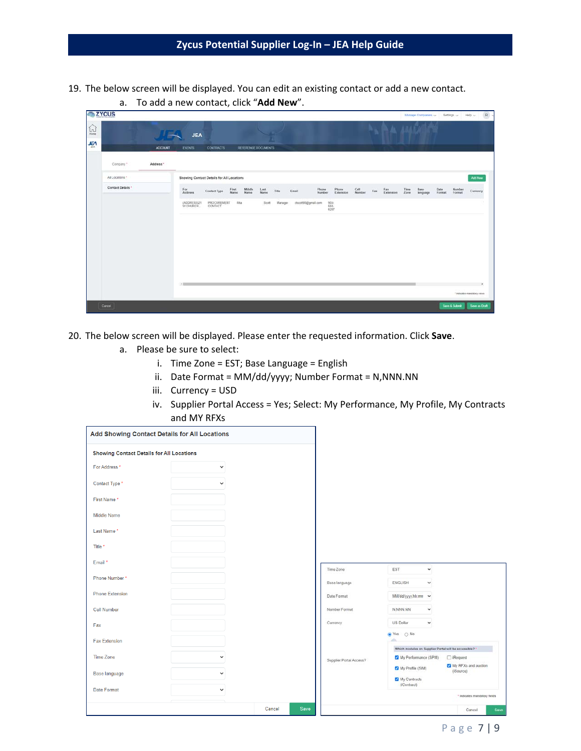- 19. The below screen will be displayed. You can edit an existing contact or add a new contact.
	- **E** ZYCUS  $\widehat{\mathbb{D}}$ JEA **JEA** ACCOUNT EVENTS Address \* Company<sup>1</sup> All Locations." Showing Contact Details for All Locations Add New Contact Details For Contact Type First Middle Last Title Email<br>Address Contact Type Name Name Name Title Email -<br>Phone Phone Coll Fax Extension Time Base Date Number<br>- Extension Number Extension Zone language Format Format (ADDRESS)21 PROCURENENT Rite  ${\sf Scott} \qquad {\sf Meager} \qquad {\sf crossB6Qgmal \; com} \qquad \begin{array}{l} {\sf 904}\\ {\sf 665} \end{array}$
- a. To add a new contact, click "**Add New**".

- 20. The below screen will be displayed. Please enter the requested information. Click **Save**.
	- a. Please be sure to select:
		- i. Time Zone = EST; Base Language = English
		- ii. Date Format = MM/dd/yyyy; Number Format = N,NNN.NN
		- iii. Currency = USD
		- iv. Supplier Portal Access = Yes; Select: My Performance, My Profile, My Contracts and MY RFXs

| Add Showing Contact Details for All Locations    |              |                |                         |                                                                                             |
|--------------------------------------------------|--------------|----------------|-------------------------|---------------------------------------------------------------------------------------------|
| <b>Showing Contact Details for All Locations</b> |              |                |                         |                                                                                             |
| For Address *                                    | $\checkmark$ |                |                         |                                                                                             |
| Contact Type *                                   | $\checkmark$ |                |                         |                                                                                             |
| First Name*                                      |              |                |                         |                                                                                             |
| <b>Middle Name</b>                               |              |                |                         |                                                                                             |
| Last Name*                                       |              |                |                         |                                                                                             |
| Title *                                          |              |                |                         |                                                                                             |
| Email *                                          |              |                | Time Zone               | EST<br>$\dot{\mathbf{v}}$                                                                   |
| Phone Number*                                    |              |                | Base language           | ENGLISH<br>v                                                                                |
| <b>Phone Extension</b>                           |              |                | Date Format             | MM/dd/yyyy.hh:mn ~                                                                          |
| <b>Cell Number</b>                               |              |                | Number Format           | N.NNN.NN<br>$\checkmark$                                                                    |
| Fax                                              |              |                | Currency                | <b>US</b> Dollar<br>٧                                                                       |
| <b>Fax Extension</b>                             |              |                |                         | s Yes ⊙ No                                                                                  |
| Time Zone                                        | $\checkmark$ |                |                         | Which modules on Supplier Portal will be accessible?"<br>My Performance (SPM)<br>□ iRequest |
| <b>Base language</b>                             | $\checkmark$ |                | Supplier Portal Access? | My RFXs and auction<br>My Profile (SIM)<br>(iSource)<br>My Contracts                        |
| <b>Date Format</b>                               | $\checkmark$ |                |                         | (iContract)                                                                                 |
|                                                  |              |                |                         | <sup>1</sup> indicates mandatory fields                                                     |
|                                                  |              | Cancel<br>Save |                         | Cancel                                                                                      |

Page 7 | 9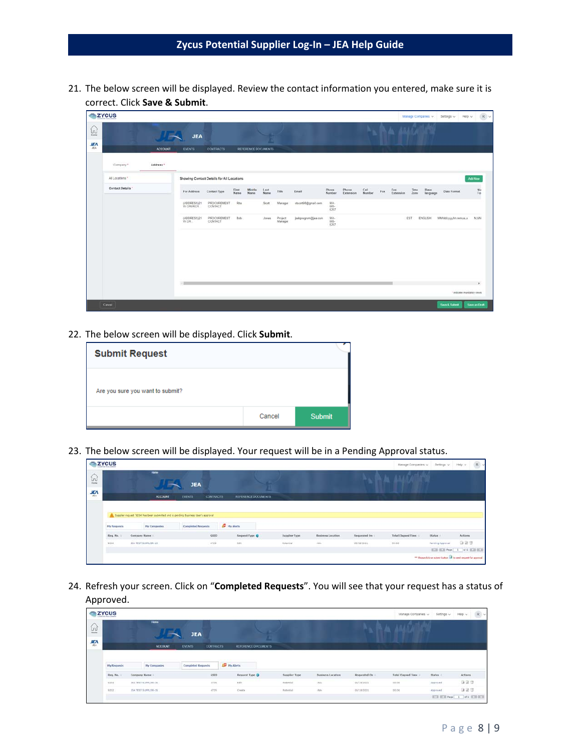21. The below screen will be displayed. Review the contact information you entered, make sure it is correct. Click **Save & Submit**.

| <b>SZYCUS</b>                   |                   |                |                         |                                           |               |                     |              |                    |                     |                         |                    |                |            |                  |              | Manage Companies w | Settings v                | Hep v                        | $\mathbb{R} \times$ |
|---------------------------------|-------------------|----------------|-------------------------|-------------------------------------------|---------------|---------------------|--------------|--------------------|---------------------|-------------------------|--------------------|----------------|------------|------------------|--------------|--------------------|---------------------------|------------------------------|---------------------|
| $\widehat{\mathbb{R}}$          |                   |                | <b>JEA</b>              |                                           |               |                     |              |                    |                     |                         |                    |                |            | A ALACARE        |              |                    |                           |                              |                     |
| $\frac{H\mathcal{M}}{R\lambda}$ |                   | <b>ACCOUNT</b> | <b>EVENTS</b>           | <b>CONTRACTS</b>                          |               | REFERENCE DOCUMENTS |              |                    |                     |                         |                    |                |            |                  |              |                    |                           |                              |                     |
|                                 | Company *         | Address *      |                         |                                           |               |                     |              |                    |                     |                         |                    |                |            |                  |              |                    |                           |                              |                     |
|                                 | All Locations *   |                |                         | Showing Contact Details for All Locations |               |                     |              |                    |                     |                         |                    |                |            |                  |              |                    |                           | <b>Add Now</b>               |                     |
|                                 | Contact Details * |                | For Address             | Contact Type                              | First<br>Name | Middle<br>Name      | Last<br>Name | Title              | Email               | Phone<br>Number         | Phone<br>Extension | Cell<br>Number | $\rm{Fix}$ | Fax<br>Extension | Time<br>Zone | Base<br>language   | Dato Format               |                              | $\frac{Nu}{Fo}$     |
|                                 |                   |                | (ADDRESS)21<br>W CHURCH | PROCUREMENT<br>CONTACT                    | Rita          |                     | Scott        | Manager            | ctscott98@gmail.com | $rac{904}{666}$<br>6257 |                    |                |            |                  |              |                    |                           |                              |                     |
|                                 |                   |                | (ADDRESS)21<br>W.CH     | PROCUREMENT<br>CONTACT                    | Bob           |                     | Jones        | Project<br>Manager | jsebpregram@jea.com | 904-565                 |                    |                |            |                  | EST          | ENGLISH            | MMIddiyyy.hh.mm.is.a N.NN |                              |                     |
|                                 |                   |                |                         |                                           |               |                     |              |                    |                     |                         |                    |                |            |                  |              |                    |                           |                              |                     |
|                                 |                   |                |                         |                                           |               |                     |              |                    |                     |                         |                    |                |            |                  |              |                    |                           |                              |                     |
|                                 |                   |                |                         |                                           |               |                     |              |                    |                     |                         |                    |                |            |                  |              |                    |                           |                              |                     |
|                                 |                   |                | $\sim$ 100              |                                           |               |                     |              |                    |                     |                         |                    |                |            |                  |              |                    |                           |                              |                     |
|                                 |                   |                |                         |                                           |               |                     |              |                    |                     |                         |                    |                |            |                  |              |                    |                           | * andicates imandatory views |                     |
|                                 | Cancel            |                |                         |                                           |               |                     |              |                    |                     |                         |                    |                |            |                  |              |                    | Save & Submit             | Save as Draft                |                     |

22. The below screen will be displayed. Click **Submit**.

| <b>Submit Request</b>            |        |               |
|----------------------------------|--------|---------------|
| Are you sure you want to submit? |        |               |
|                                  | Cancel | <b>Submit</b> |

23. The below screen will be displayed. Your request will be in a Pending Approval status.

| <b>EXYCUS</b> |                    |                                                                                     |                                   |                     |                 |                          |                 | Manage Companies          | Setlegs v. Help v. | R                                                                 |
|---------------|--------------------|-------------------------------------------------------------------------------------|-----------------------------------|---------------------|-----------------|--------------------------|-----------------|---------------------------|--------------------|-------------------------------------------------------------------|
| $\Omega$      |                    | Home                                                                                | <b>JEA</b>                        |                     |                 |                          |                 |                           |                    |                                                                   |
| 监             |                    | <b>ACCOUNT</b>                                                                      | <b>CONTRACTS</b><br><b>EVENTS</b> | REFERENCE DOCUMENTS |                 |                          |                 |                           |                    |                                                                   |
|               |                    | A Suppler request '9234' has been submitted and is pending Business User's approval |                                   |                     |                 |                          |                 |                           |                    |                                                                   |
|               | <b>My Requests</b> | My Companies                                                                        | Completed Requests                | <b>SE</b> Hy Norts  |                 |                          |                 |                           |                    |                                                                   |
|               | Req. No.           | Company Name                                                                        | GSID                              | Request Type @      | Supplier Type   | <b>Business Location</b> | Requested On :: | <b>Total Elapsed Time</b> | Status :           | Actions                                                           |
|               | 9204               | JEA TEST SUPRIMA-15                                                                 | 5720                              | 0.45                | <b>February</b> | $-14.5$                  | OUTB/2021       | 00.00                     | For ding Approval  | 923                                                               |
|               |                    |                                                                                     |                                   |                     |                 |                          |                 |                           |                    | ECR ECR Page   1   07 1   ECR ECR                                 |
|               |                    |                                                                                     |                                   |                     |                 |                          |                 |                           |                    | ** Rease clok on submit button Life to send request for approval. |

24. Refresh your screen. Click on "**Completed Requests**". You will see that your request has a status of Approved.

| <b>ZYCUS</b> |                    |                      |                                   |                     |               |                                         |                 | Manage Companies    | Settings ~        | $R$ $\sim$<br>Help v       |
|--------------|--------------------|----------------------|-----------------------------------|---------------------|---------------|-----------------------------------------|-----------------|---------------------|-------------------|----------------------------|
| $\Xi$        |                    | Home                 | <b>JEA</b>                        |                     |               |                                         |                 |                     |                   |                            |
| 學            |                    | ACCOUNT.             | <b>EVENTS</b><br><b>CONTRACTS</b> | REFERENCE DOCUMENTS |               |                                         |                 |                     |                   |                            |
|              | <b>Hy Requests</b> | <b>Hy Companies</b>  | <b>Completed Requests</b>         | <b>ID</b> Hy Alerts |               |                                         |                 |                     |                   |                            |
|              | Reg. No.: 11       | Company Name ::      | <b>GSID</b>                       | Request Type O      | Supplier Type | Business Location                       | Requested On: 1 | Total Elapsed Time: | Status:<br>ann an | <b>Actions</b>             |
|              | 3224               | JEA TEST SUPPLIER-15 | 4729                              | 561                 | Potential     | $\langle \mathrm{E} \mathrm{I} \rangle$ | 03/18/2021      | 00:00<br>-322       | Approved          | 自言症                        |
|              | 9202               | JEA TEST SUPPLIER-15 | 4729.                             | Create              | Potential     | $d\Omega\omega$                         | 05/18/2021      | 30:00               | Attroved          | 927                        |
|              |                    |                      |                                   |                     |               |                                         |                 |                     |                   | 020 020 Page 1 011 020 020 |